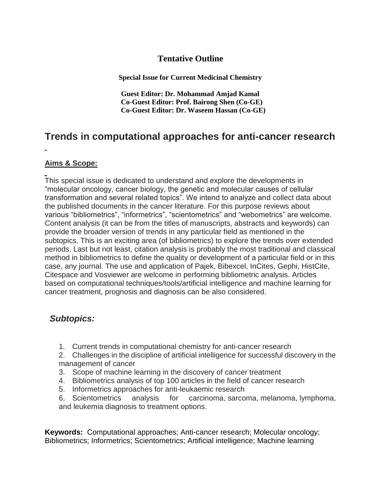### **Tentative Outline**

**Special Issue for Current Medicinal Chemistry**

**Guest Editor: Dr. Mohammad Amjad Kamal Co-Guest Editor: Prof. Bairong Shen (Co-GE) Co-Guest Editor: Dr. Waseem Hassan (Co-GE)**

# **Trends in computational approaches for anti-cancer research**

#### **Aims & Scope:**

This special issue is dedicated to understand and explore the developments in "molecular oncology, cancer biology, the genetic and molecular causes of cellular transformation and several related topics". We intend to analyze and collect data about the published documents in the cancer literature. For this purpose reviews about various "bibliometrics", "informetrics", "scientometrics" and "webometrics" are welcome. Content analysis (it can be from the titles of manuscripts, abstracts and keywords) can provide the broader version of trends in any particular field as mentioned in the subtopics. This is an exciting area (of bibliometrics) to explore the trends over extended periods. Last but not least, citation analysis is probably the most traditional and classical method in bibliometrics to define the quality or development of a particular field or in this case, any journal. The use and application of Pajek, Bibexcel, InCites, Gephi, HistCite, Citespace and Vosviewer are welcome in performing bibliometric analysis. Articles based on computational techniques/tools/artificial intelligence and machine learning for cancer treatment, prognosis and diagnosis can be also considered.

## *Subtopics:*

1. Current trends in computational chemistry for anti-cancer research

2. Challenges in the discipline of artificial intelligence for successful discovery in the management of cancer

- 3. Scope of machine learning in the discovery of cancer treatment
- 4. Bibliometrics analysis of top 100 articles in the field of cancer research
- 5. Informetrics approaches for anti-leukaemic research
- 6. Scientometrics analysis for carcinoma, sarcoma, melanoma, lymphoma, and leukemia diagnosis to treatment options.

**Keywords:** Computational approaches; Anti-cancer research; Molecular oncology; Bibliometrics; Informetrics; Scientometrics; Artificial intelligence; Machine learning